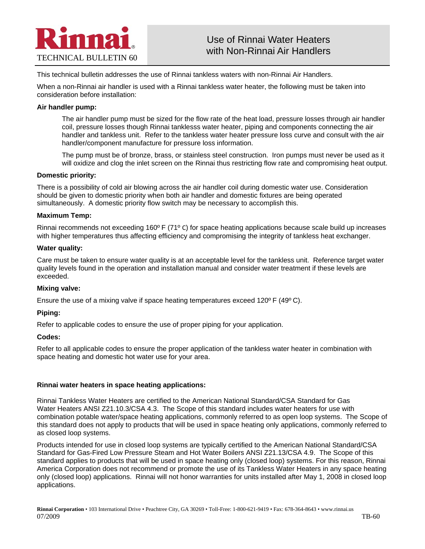

This technical bulletin addresses the use of Rinnai tankless waters with non-Rinnai Air Handlers.

When a non-Rinnai air handler is used with a Rinnai tankless water heater, the following must be taken into consideration before installation:

#### **Air handler pump:**

 The air handler pump must be sized for the flow rate of the heat load, pressure losses through air handler coil, pressure losses though Rinnai tanklesss water heater, piping and components connecting the air handler and tankless unit. Refer to the tankless water heater pressure loss curve and consult with the air handler/component manufacture for pressure loss information.

 The pump must be of bronze, brass, or stainless steel construction. Iron pumps must never be used as it will oxidize and clog the inlet screen on the Rinnai thus restricting flow rate and compromising heat output.

#### **Domestic priority:**

There is a possibility of cold air blowing across the air handler coil during domestic water use. Consideration should be given to domestic priority when both air handler and domestic fixtures are being operated simultaneously. A domestic priority flow switch may be necessary to accomplish this.

#### **Maximum Temp:**

Rinnai recommends not exceeding 160º F (71º C) for space heating applications because scale build up increases with higher temperatures thus affecting efficiency and compromising the integrity of tankless heat exchanger.

#### **Water quality:**

Care must be taken to ensure water quality is at an acceptable level for the tankless unit. Reference target water quality levels found in the operation and installation manual and consider water treatment if these levels are exceeded.

## **Mixing valve:**

Ensure the use of a mixing valve if space heating temperatures exceed  $120^{\circ}$  F (49 $^{\circ}$ C).

## **Piping:**

Refer to applicable codes to ensure the use of proper piping for your application.

## **Codes:**

Refer to all applicable codes to ensure the proper application of the tankless water heater in combination with space heating and domestic hot water use for your area.

## **Rinnai water heaters in space heating applications:**

Rinnai Tankless Water Heaters are certified to the American National Standard/CSA Standard for Gas Water Heaters ANSI Z21.10.3/CSA 4.3. The Scope of this standard includes water heaters for use with combination potable water/space heating applications, commonly referred to as open loop systems. The Scope of this standard does not apply to products that will be used in space heating only applications, commonly referred to as closed loop systems.

Products intended for use in closed loop systems are typically certified to the American National Standard/CSA Standard for Gas-Fired Low Pressure Steam and Hot Water Boilers ANSI Z21.13/CSA 4.9. The Scope of this standard applies to products that will be used in space heating only (closed loop) systems. For this reason, Rinnai America Corporation does not recommend or promote the use of its Tankless Water Heaters in any space heating only (closed loop) applications. Rinnai will not honor warranties for units installed after May 1, 2008 in closed loop applications.